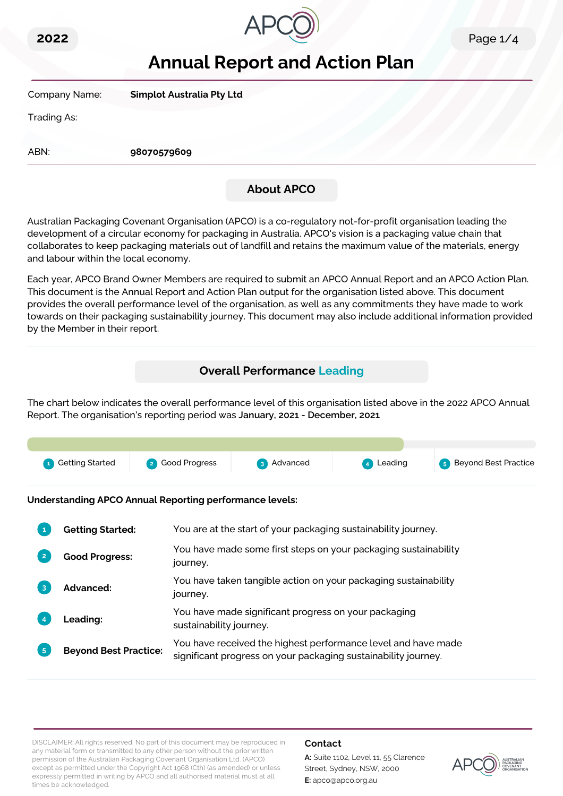



# **Annual Report and Action Plan**

Company Name: **Simplot Australia Pty Ltd**

Trading As:

ABN: **98070579609**

## **About APCO**

Australian Packaging Covenant Organisation (APCO) is a co-regulatory not-for-profit organisation leading the development of a circular economy for packaging in Australia. APCO's vision is a packaging value chain that collaborates to keep packaging materials out of landfill and retains the maximum value of the materials, energy and labour within the local economy.

Each year, APCO Brand Owner Members are required to submit an APCO Annual Report and an APCO Action Plan. This document is the Annual Report and Action Plan output for the organisation listed above. This document provides the overall performance level of the organisation, as well as any commitments they have made to work towards on their packaging sustainability journey. This document may also include additional information provided by the Member in their report.

### **Overall Performance Leading**

The chart below indicates the overall performance level of this organisation listed above in the 2022 APCO Annual Report. The organisation's reporting period was **January, 2021 - December, 2021**.



**Understanding APCO Annual Reporting performance levels:**

|                | <b>Getting Started:</b>      | You are at the start of your packaging sustainability journey.                                                                  |
|----------------|------------------------------|---------------------------------------------------------------------------------------------------------------------------------|
| $\overline{2}$ | <b>Good Progress:</b>        | You have made some first steps on your packaging sustainability<br>journey.                                                     |
| 3              | <b>Advanced:</b>             | You have taken tangible action on your packaging sustainability<br>journey.                                                     |
|                | Leading:                     | You have made significant progress on your packaging<br>sustainability journey.                                                 |
| 5 <sup>1</sup> | <b>Beyond Best Practice:</b> | You have received the highest performance level and have made<br>significant progress on your packaging sustainability journey. |

DISCLAIMER: All rights reserved. No part of this document may be reproduced in any material form or transmitted to any other person without the prior written permission of the Australian Packaging Covenant Organisation Ltd. (APCO) except as permitted under the Copyright Act 1968 (Cth) (as amended) or unless expressly permitted in writing by APCO and all authorised material must at all times be acknowledged.

#### **Contact**

**A:** Suite 1102, Level 11, 55 Clarence Street, Sydney, NSW, 2000 **E:** apco@apco.org.au

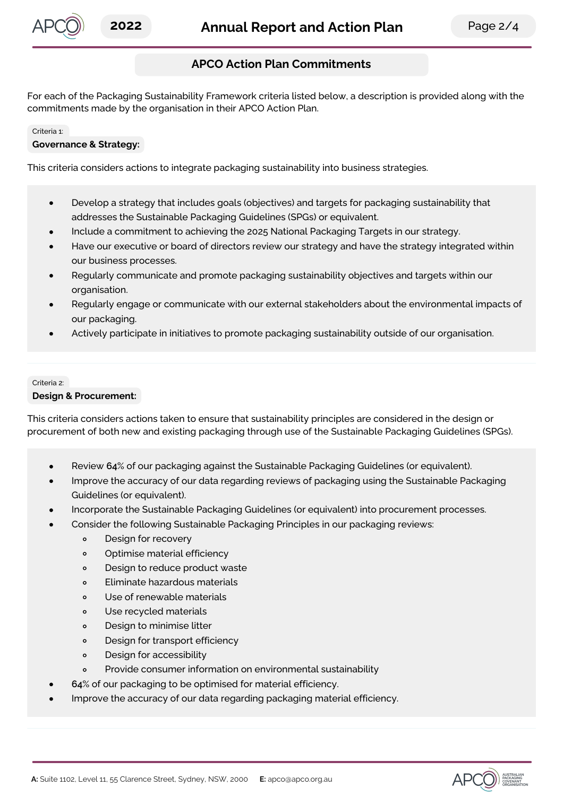

### **APCO Action Plan Commitments**

For each of the Packaging Sustainability Framework criteria listed below, a description is provided along with the commitments made by the organisation in their APCO Action Plan.

#### Criteria 1:

#### **Governance & Strategy:**

This criteria considers actions to integrate packaging sustainability into business strategies.

- Develop a strategy that includes goals (objectives) and targets for packaging sustainability that  $\bullet$ addresses the Sustainable Packaging Guidelines (SPGs) or equivalent.
- Include a commitment to achieving the 2025 National Packaging Targets in our strategy.
- Have our executive or board of directors review our strategy and have the strategy integrated within our business processes.
- Regularly communicate and promote packaging sustainability objectives and targets within our organisation.
- Regularly engage or communicate with our external stakeholders about the environmental impacts of our packaging.
- Actively participate in initiatives to promote packaging sustainability outside of our organisation.

## Criteria 2:

#### **Design & Procurement:**

This criteria considers actions taken to ensure that sustainability principles are considered in the design or procurement of both new and existing packaging through use of the Sustainable Packaging Guidelines (SPGs).

- Review **64**% of our packaging against the Sustainable Packaging Guidelines (or equivalent).
- Improve the accuracy of our data regarding reviews of packaging using the Sustainable Packaging Guidelines (or equivalent).
- Incorporate the Sustainable Packaging Guidelines (or equivalent) into procurement processes.
- Consider the following Sustainable Packaging Principles in our packaging reviews:
	- $\circ$ Design for recovery
	- Optimise material efficiency  $\circ$
	- Design to reduce product waste  $\circ$
	- Eliminate hazardous materials  $\circ$
	- $\circ$ Use of renewable materials
	- Use recycled materials  $\Omega$
	- Design to minimise litter  $\circ$
	- Design for transport efficiency  $\circ$
	- $\circ$ Design for accessibility
	- Provide consumer information on environmental sustainability  $\circ$
	- **64**% of our packaging to be optimised for material efficiency.
- Improve the accuracy of our data regarding packaging material efficiency.

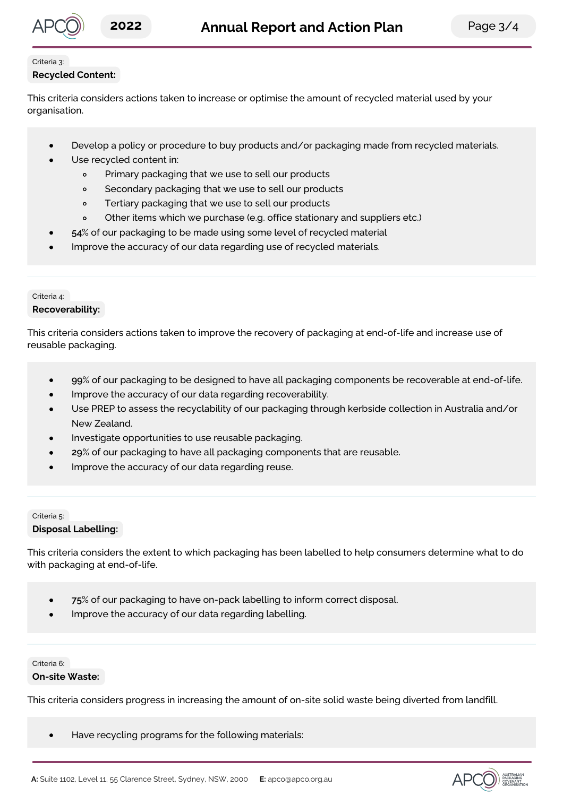

#### Criteria 3:

#### **Recycled Content:**

This criteria considers actions taken to increase or optimise the amount of recycled material used by your organisation.

- Develop a policy or procedure to buy products and/or packaging made from recycled materials.
- Use recycled content in:
	- $\circ$ Primary packaging that we use to sell our products
	- Secondary packaging that we use to sell our products  $\circ$
	- Tertiary packaging that we use to sell our products  $\circ$
	- Other items which we purchase (e.g. office stationary and suppliers etc.)  $\circ$
- **54**% of our packaging to be made using some level of recycled material
- Improve the accuracy of our data regarding use of recycled materials.

#### Criteria 4:

#### **Recoverability:**

This criteria considers actions taken to improve the recovery of packaging at end-of-life and increase use of reusable packaging.

- **99**% of our packaging to be designed to have all packaging components be recoverable at end-of-life.
- Improve the accuracy of our data regarding recoverability.
- Use PREP to assess the recyclability of our packaging through kerbside collection in Australia and/or New Zealand.
- Investigate opportunities to use reusable packaging.
- **29**% of our packaging to have all packaging components that are reusable.
- Improve the accuracy of our data regarding reuse.

#### Criteria 5: **Disposal Labelling:**

This criteria considers the extent to which packaging has been labelled to help consumers determine what to do with packaging at end-of-life.

- **75**% of our packaging to have on-pack labelling to inform correct disposal.  $\bullet$
- Improve the accuracy of our data regarding labelling.

#### Criteria 6:

#### **On-site Waste:**

This criteria considers progress in increasing the amount of on-site solid waste being diverted from landfill.

Have recycling programs for the following materials: